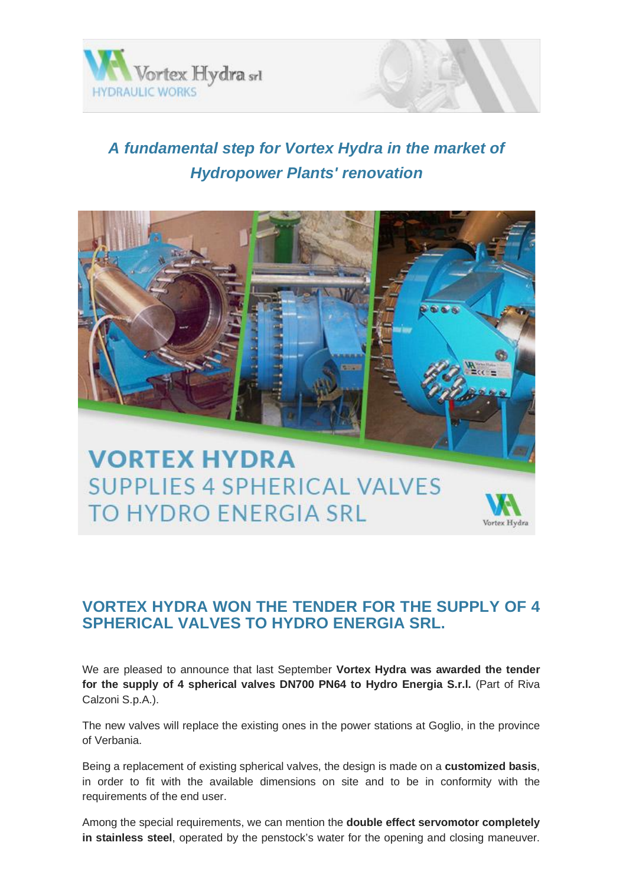

Vortex Hydra

## *A fundamental step for Vortex Hydra in the market of Hydropower Plants' renovation*



## **VORTEX HYDRA WON THE TENDER FOR THE SUPPLY OF 4 SPHERICAL VALVES TO HYDRO ENERGIA SRL.**

We are pleased to announce that last September **Vortex Hydra was awarded the tender for the supply of 4 spherical valves DN700 PN64 to Hydro Energia S.r.l.** (Part of Riva Calzoni S.p.A.).

The new valves will replace the existing ones in the power stations at Goglio, in the province of Verbania.

Being a replacement of existing spherical valves, the design is made on a **customized basis**, in order to fit with the available dimensions on site and to be in conformity with the requirements of the end user.

Among the special requirements, we can mention the **double effect servomotor completely in stainless steel**, operated by the penstock's water for the opening and closing maneuver.